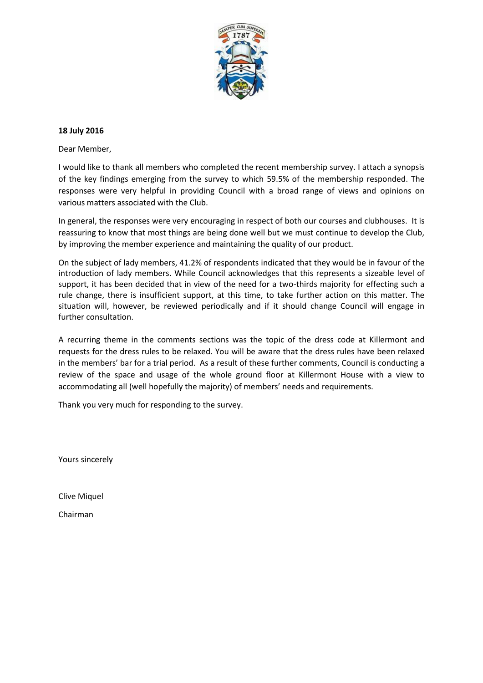

## **18 July 2016**

Dear Member,

I would like to thank all members who completed the recent membership survey. I attach a synopsis of the key findings emerging from the survey to which 59.5% of the membership responded. The responses were very helpful in providing Council with a broad range of views and opinions on various matters associated with the Club.

In general, the responses were very encouraging in respect of both our courses and clubhouses. It is reassuring to know that most things are being done well but we must continue to develop the Club, by improving the member experience and maintaining the quality of our product.

On the subject of lady members, 41.2% of respondents indicated that they would be in favour of the introduction of lady members. While Council acknowledges that this represents a sizeable level of support, it has been decided that in view of the need for a two-thirds majority for effecting such a rule change, there is insufficient support, at this time, to take further action on this matter. The situation will, however, be reviewed periodically and if it should change Council will engage in further consultation.

A recurring theme in the comments sections was the topic of the dress code at Killermont and requests for the dress rules to be relaxed. You will be aware that the dress rules have been relaxed in the members' bar for a trial period. As a result of these further comments, Council is conducting a review of the space and usage of the whole ground floor at Killermont House with a view to accommodating all (well hopefully the majority) of members' needs and requirements.

Thank you very much for responding to the survey.

Yours sincerely

Clive Miquel

Chairman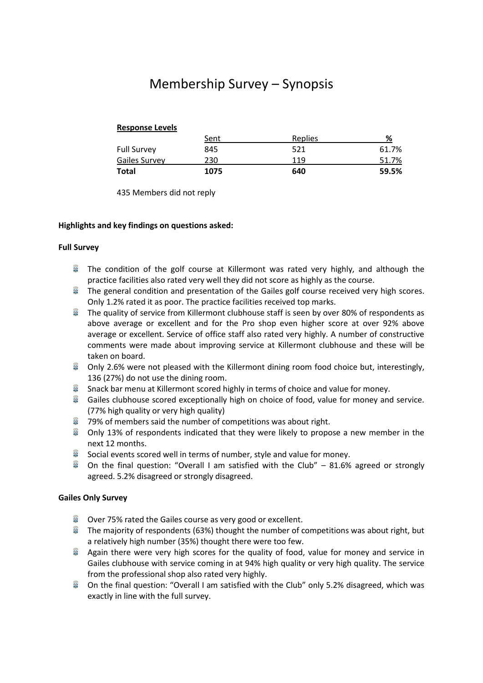# Membership Survey – Synopsis

## **Response Levels**

| <b>Full Survey</b> | Sent<br>845 | Replies<br>521 | %<br>61.7% |
|--------------------|-------------|----------------|------------|
|                    |             |                |            |
| <b>Total</b>       | 1075        | 640            | 59.5%      |

435 Members did not reply

## **Highlights and key findings on questions asked:**

#### **Full Survey**

- The condition of the golf course at Killermont was rated very highly, and although the practice facilities also rated very well they did not score as highly as the course.
- The general condition and presentation of the Gailes golf course received very high scores. Only 1.2% rated it as poor. The practice facilities received top marks.
- The quality of service from Killermont clubhouse staff is seen by over 80% of respondents as above average or excellent and for the Pro shop even higher score at over 92% above average or excellent. Service of office staff also rated very highly. A number of constructive comments were made about improving service at Killermont clubhouse and these will be taken on board.
- $\frac{22}{3}$  Only 2.6% were not pleased with the Killermont dining room food choice but, interestingly, 136 (27%) do not use the dining room.
- Snack bar menu at Killermont scored highly in terms of choice and value for money.
- Gailes clubhouse scored exceptionally high on choice of food, value for money and service. (77% high quality or very high quality)
- **3** 79% of members said the number of competitions was about right.
- **B** Only 13% of respondents indicated that they were likely to propose a new member in the next 12 months.
- <u>을</u> Social events scored well in terms of number, style and value for money.
- e. On the final question: "Overall I am satisfied with the Club" – 81.6% agreed or strongly agreed. 5.2% disagreed or strongly disagreed.

## **Gailes Only Survey**

- **EXECUTE:** Over 75% rated the Gailes course as very good or excellent.
- The majority of respondents (63%) thought the number of competitions was about right, but a relatively high number (35%) thought there were too few.
- **Again there were very high scores for the quality of food, value for money and service in** Gailes clubhouse with service coming in at 94% high quality or very high quality. The service from the professional shop also rated very highly.
- **8** On the final question: "Overall I am satisfied with the Club" only 5.2% disagreed, which was exactly in line with the full survey.